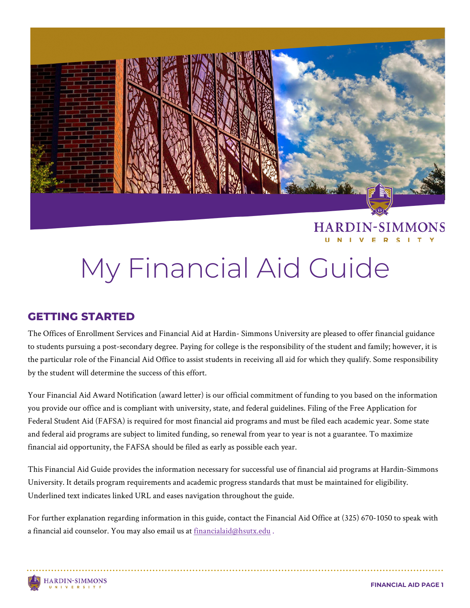

#### **HARDIN-SIMMONS**

# My Financial Aid Guide

#### **GETTING STARTED**

The Offices of Enrollment Services and Financial Aid at Hardin- Simmons University are pleased to offer financial guidance to students pursuing a post-secondary degree. Paying for college is the responsibility of the student and family; however, it is the particular role of the Financial Aid Office to assist students in receiving all aid for which they qualify. Some responsibility by the student will determine the success of this effort.

Your Financial Aid Award Notification (award letter) is our official commitment of funding to you based on the information you provide our office and is compliant with university, state, and federal guidelines. Filing of the Free Application for Federal Student Aid (FAFSA) is required for most financial aid programs and must be filed each academic year. Some state and federal aid programs are subject to limited funding, so renewal from year to year is not a guarantee. To maximize financial aid opportunity, the FAFSA should be filed as early as possible each year.

This Financial Aid Guide provides the information necessary for successful use of financial aid programs at Hardin-Simmons University. It details program requirements and academic progress standards that must be maintained for eligibility. Underlined text indicates linked URL and eases navigation throughout the guide.

For further explanation regarding information in this guide, contact the Financial Aid Office at (325) 670-1050 to speak with a financial aid counselor. You may also email us a[t financialaid@hsutx.edu](mailto:financialaid@hsutx.edu) .

#### **HARDIN-SIMMONS IVERSIT**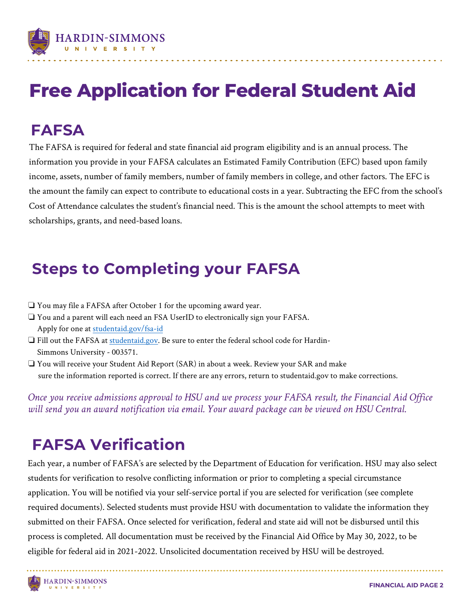

## **Free Application for Federal Student Aid**

### **FAFSA**

The FAFSA is required for federal and state financial aid program eligibility and is an annual process. The information you provide in your FAFSA calculates an Estimated Family Contribution (EFC) based upon family income, assets, number of family members, number of family members in college, and other factors. The EFC is the amount the family can expect to contribute to educational costs in a year. Subtracting the EFC from the school's Cost of Attendance calculates the student's financial need. This is the amount the school attempts to meet with scholarships, grants, and need-based loans.

### **Steps to Completing your FAFSA**

- ❏ You may file a FAFSA after October 1 for the upcoming award year.
- ❏ You and a parent will each need an FSA UserID to electronically sign your FAFSA. Apply for one at [studentaid.gov/fsa-id](https://studentaid.gov/fsa-id/sign-in/landing)
- ❏ Fill out the FAFSA at [studentaid.gov.](https://studentaid.gov/h/apply-for-aid/fafsa) Be sure to enter the federal school code for Hardin- Simmons University - 003571.
- ❏ You will receive your Student Aid Report (SAR) in about a week. Review your SAR and make sure the information reported is correct. If there are any errors, return to studentaid.gov to make corrections.

*Once you receive admissions approval to HSU and we process your FAFSA result, the Financial Aid Office will send you an award notification via email. Your award package can be viewed on HSU Central.* 

### **FAFSA Verification**

Each year, a number of FAFSA's are selected by the Department of Education for verification. HSU may also select students for verification to resolve conflicting information or prior to completing a special circumstance application. You will be notified via your self-service portal if you are selected for verification (see complete required documents). Selected students must provide HSU with documentation to validate the information they submitted on their FAFSA. Once selected for verification, federal and state aid will not be disbursed until this process is completed. All documentation must be received by the Financial Aid Office by May 30, 2022, to be eligible for federal aid in 2021-2022. Unsolicited documentation received by HSU will be destroyed.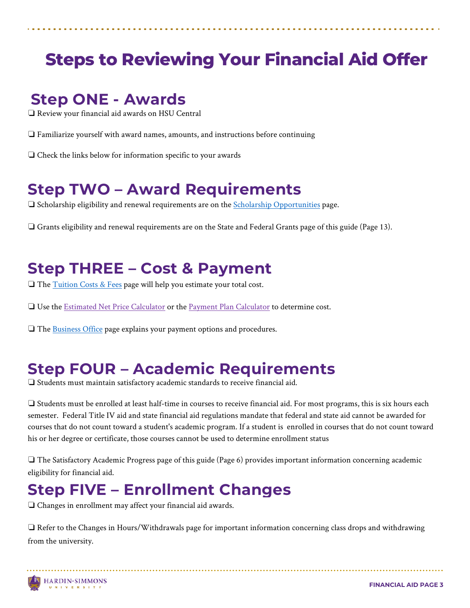### **Steps to Reviewing Your Financial Aid Offer**

#### **Step ONE - Awards**

Ĭ

❏ Review your financial aid awards on HSU Central

- ❏ Familiarize yourself with award names, amounts, and instructions before continuing
- ❏ Check the links below for information specific to your awards

#### **Step TWO – Award Requirements**

❏ Scholarship eligibility and renewal requirements are on the [Scholarship Opportunities](https://www.hsutx.edu/tuition-aid/scholarships/) page.

❏ Grants eligibility and renewal requirements are on the State and Federal Grants page of this guide (Page 13).

#### **Step THREE – Cost & Payment**

❏ The [Tuition Costs & Fees](https://www.hsutx.edu/tuition-aid/tuition-costs-fees/) page will help you estimate your total cost.

❏ Use the [Estimated Net Price Calculator](https://www.hsutx.edu/tuition-aid/affording-hsu/net-price-calculator/) or the [Payment Plan Calculator](https://www.hsutx.edu/tuition-aid/affording-hsu/payment-plan-calculator/) to determine cost.

❏ The [Business Office](https://www.hsutx.edu/tuition-aid/business-office/) page explains your payment options and procedures.

#### **Step FOUR – Academic Requirements**

❏ Students must maintain satisfactory academic standards to receive financial aid.

❏ Students must be enrolled at least half-time in courses to receive financial aid. For most programs, this is six hours each semester. Federal Title IV aid and state financial aid regulations mandate that federal and state aid cannot be awarded for courses that do not count toward a student's academic program. If a student is enrolled in courses that do not count toward his or her degree or certificate, those courses cannot be used to determine enrollment status

❏ The Satisfactory Academic Progress page of this guide (Page 6) provides important information concerning academic eligibility for financial aid.

### **Step FIVE – Enrollment Changes**

❏ Changes in enrollment may affect your financial aid awards.

❏ Refer to the Changes in Hours/Withdrawals page for important information concerning class drops and withdrawing from the university.

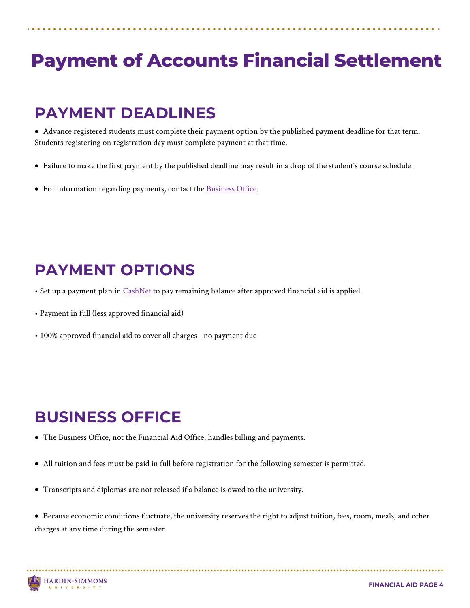## **Payment of Accounts Financial Settlement**

#### **PAYMENT DEADLINES**

Ĭ

• Advance registered students must complete their payment option by the published payment deadline for that term. Students registering on registration day must complete payment at that time.

- Failure to make the first payment by the published deadline may result in a drop of the student's course schedule.
- For information regarding payments, contact the [Business Office.](https://www.hsutx.edu/tuition-aid/business-office/)

#### **PAYMENT OPTIONS**

- Set up a payment plan in [CashNet](https://www.hsutx.edu/tuition-aid/business-office/) to pay remaining balance after approved financial aid is applied.
- Payment in full (less approved financial aid)
- 100% approved financial aid to cover all charges—no payment due

#### **BUSINESS OFFICE**

- The Business Office, not the Financial Aid Office, handles billing and payments.
- All tuition and fees must be paid in full before registration for the following semester is permitted.
- Transcripts and diplomas are not released if a balance is owed to the university.
- Because economic conditions fluctuate, the university reserves the right to adjust tuition, fees, room, meals, and other charges at any time during the semester.

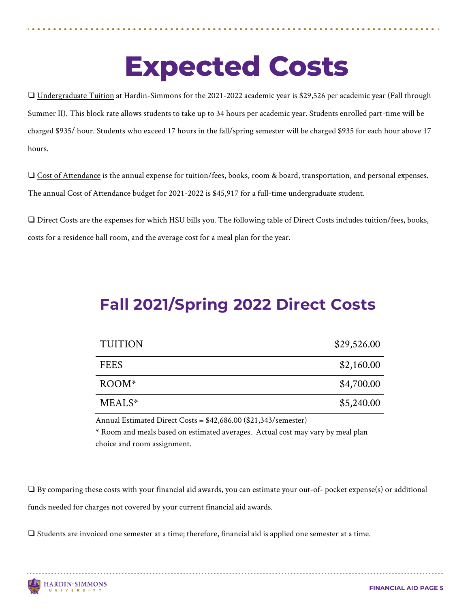## **Expected Costs**

❏ Undergraduate Tuition at Hardin-Simmons for the 2021-2022 academic year is \$29,526 per academic year (Fall through Summer II). This block rate allows students to take up to 34 hours per academic year. Students enrolled part-time will be charged \$935/ hour. Students who exceed 17 hours in the fall/spring semester will be charged \$935 for each hour above 17 hours.

❏ Cost of Attendance is the annual expense for tuition/fees, books, room & board, transportation, and personal expenses. The annual Cost of Attendance budget for 2021-2022 is \$45,917 for a full-time undergraduate student.

❏ Direct Costs are the expenses for which HSU bills you. The following table of Direct Costs includes tuition/fees, books, costs for a residence hall room, and the average cost for a meal plan for the year.

### **Fall 2021/Spring 2022 Direct Costs**

| <b>TUITION</b>     | \$29,526.00 |
|--------------------|-------------|
| <b>FEES</b>        | \$2,160.00  |
| $ROOM*$            | \$4,700.00  |
| MEALS <sup>*</sup> | \$5,240.00  |

Annual Estimated Direct Costs = \$42,686.00 (\$21,343/semester)

\* Room and meals based on estimated averages. Actual cost may vary by meal plan choice and room assignment.

❏ By comparing these costs with your financial aid awards, you can estimate your out-of- pocket expense(s) or additional funds needed for charges not covered by your current financial aid awards.

❏ Students are invoiced one semester at a time; therefore, financial aid is applied one semester at a time.

Ĭ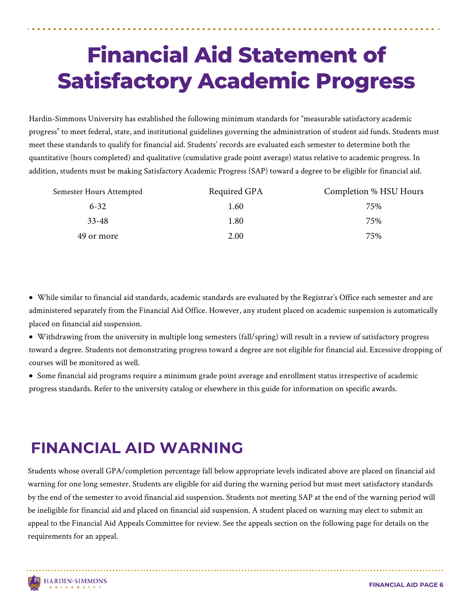## **Financial Aid Statement of Satisfactory Academic Progress**

Hardin-Simmons University has established the following minimum standards for "measurable satisfactory academic progress" to meet federal, state, and institutional guidelines governing the administration of student aid funds. Students must meet these standards to qualify for financial aid. Students' records are evaluated each semester to determine both the quantitative (hours completed) and qualitative (cumulative grade point average) status relative to academic progress. In addition, students must be making Satisfactory Academic Progress (SAP) toward a degree to be eligible for financial aid.

| Semester Hours Attempted | Required GPA | Completion % HSU Hours |
|--------------------------|--------------|------------------------|
| $6 - 32$                 | 1.60         | 75%                    |
| $33 - 48$                | $1.80\,$     | 75%                    |
| 49 or more               | 2.00         | 75%                    |

• While similar to financial aid standards, academic standards are evaluated by the Registrar's Office each semester and are administered separately from the Financial Aid Office. However, any student placed on academic suspension is automatically placed on financial aid suspension.

- Withdrawing from the university in multiple long semesters (fall/spring) will result in a review of satisfactory progress toward a degree. Students not demonstrating progress toward a degree are not eligible for financial aid. Excessive dropping of courses will be monitored as well.
- Some financial aid programs require a minimum grade point average and enrollment status irrespective of academic progress standards. Refer to the university catalog or elsewhere in this guide for information on specific awards.

### **FINANCIAL AID WARNING**

Students whose overall GPA/completion percentage fall below appropriate levels indicated above are placed on financial aid warning for one long semester. Students are eligible for aid during the warning period but must meet satisfactory standards by the end of the semester to avoid financial aid suspension. Students not meeting SAP at the end of the warning period will be ineligible for financial aid and placed on financial aid suspension. A student placed on warning may elect to submit an appeal to the Financial Aid Appeals Committee for review. See the appeals section on the following page for details on the requirements for an appeal.

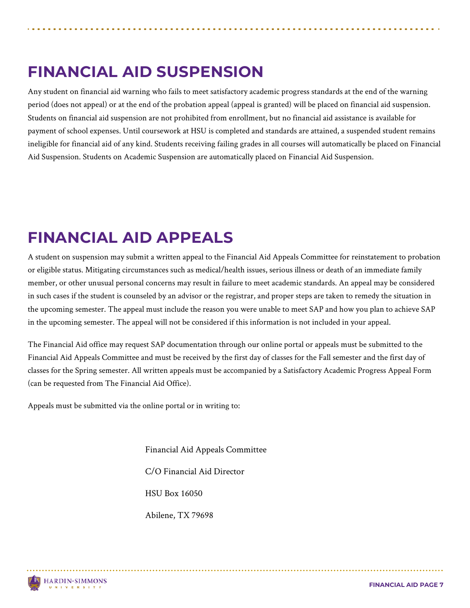### **FINANCIAL AID SUSPENSION**

Any student on financial aid warning who fails to meet satisfactory academic progress standards at the end of the warning period (does not appeal) or at the end of the probation appeal (appeal is granted) will be placed on financial aid suspension. Students on financial aid suspension are not prohibited from enrollment, but no financial aid assistance is available for payment of school expenses. Until coursework at HSU is completed and standards are attained, a suspended student remains ineligible for financial aid of any kind. Students receiving failing grades in all courses will automatically be placed on Financial Aid Suspension. Students on Academic Suspension are automatically placed on Financial Aid Suspension.

### **FINANCIAL AID APPEALS**

A student on suspension may submit a written appeal to the Financial Aid Appeals Committee for reinstatement to probation or eligible status. Mitigating circumstances such as medical/health issues, serious illness or death of an immediate family member, or other unusual personal concerns may result in failure to meet academic standards. An appeal may be considered in such cases if the student is counseled by an advisor or the registrar, and proper steps are taken to remedy the situation in the upcoming semester. The appeal must include the reason you were unable to meet SAP and how you plan to achieve SAP in the upcoming semester. The appeal will not be considered if this information is not included in your appeal.

The Financial Aid office may request SAP documentation through our online portal or appeals must be submitted to the Financial Aid Appeals Committee and must be received by the first day of classes for the Fall semester and the first day of classes for the Spring semester. All written appeals must be accompanied by a Satisfactory Academic Progress Appeal Form (can be requested from The Financial Aid Office).

Appeals must be submitted via the online portal or in writing to:

Financial Aid Appeals Committee C/O Financial Aid Director HSU Box 16050 Abilene, TX 79698

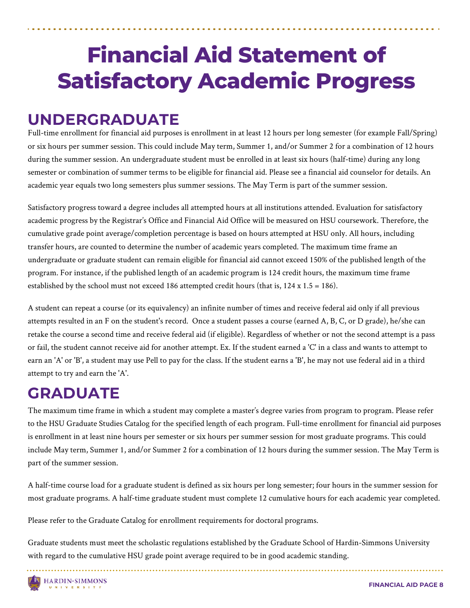## **Financial Aid Statement of Satisfactory Academic Progress**

#### **UNDERGRADUATE**

Full-time enrollment for financial aid purposes is enrollment in at least 12 hours per long semester (for example Fall/Spring) or six hours per summer session. This could include May term, Summer 1, and/or Summer 2 for a combination of 12 hours during the summer session. An undergraduate student must be enrolled in at least six hours (half-time) during any long semester or combination of summer terms to be eligible for financial aid. Please see a financial aid counselor for details. An academic year equals two long semesters plus summer sessions. The May Term is part of the summer session.

Satisfactory progress toward a degree includes all attempted hours at all institutions attended. Evaluation for satisfactory academic progress by the Registrar's Office and Financial Aid Office will be measured on HSU coursework. Therefore, the cumulative grade point average/completion percentage is based on hours attempted at HSU only. All hours, including transfer hours, are counted to determine the number of academic years completed. The maximum time frame an undergraduate or graduate student can remain eligible for financial aid cannot exceed 150% of the published length of the program. For instance, if the published length of an academic program is 124 credit hours, the maximum time frame established by the school must not exceed 186 attempted credit hours (that is,  $124 \times 1.5 = 186$ ).

A student can repeat a course (or its equivalency) an infinite number of times and receive federal aid only if all previous attempts resulted in an F on the student's record. Once a student passes a course (earned A, B, C, or D grade), he/she can retake the course a second time and receive federal aid (if eligible). Regardless of whether or not the second attempt is a pass or fail, the student cannot receive aid for another attempt. Ex. If the student earned a 'C' in a class and wants to attempt to earn an 'A' or 'B', a student may use Pell to pay for the class. If the student earns a 'B', he may not use federal aid in a third attempt to try and earn the 'A'.

#### **GRADUATE**

The maximum time frame in which a student may complete a master's degree varies from program to program. Please refer to the HSU Graduate Studies Catalog for the specified length of each program. Full-time enrollment for financial aid purposes is enrollment in at least nine hours per semester or six hours per summer session for most graduate programs. This could include May term, Summer 1, and/or Summer 2 for a combination of 12 hours during the summer session. The May Term is part of the summer session.

A half-time course load for a graduate student is defined as six hours per long semester; four hours in the summer session for most graduate programs. A half-time graduate student must complete 12 cumulative hours for each academic year completed.

Please refer to the Graduate Catalog for enrollment requirements for doctoral programs.

Graduate students must meet the scholastic regulations established by the Graduate School of Hardin-Simmons University with regard to the cumulative HSU grade point average required to be in good academic standing.

**HARDIN-SIMMONS** UNIVERSITY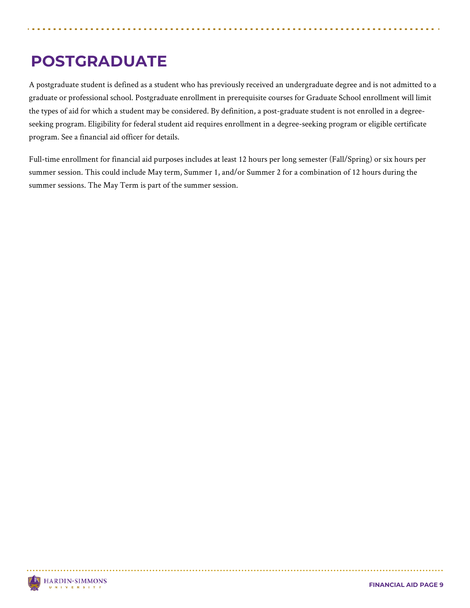### **POSTGRADUATE**

A postgraduate student is defined as a student who has previously received an undergraduate degree and is not admitted to a graduate or professional school. Postgraduate enrollment in prerequisite courses for Graduate School enrollment will limit the types of aid for which a student may be considered. By definition, a post-graduate student is not enrolled in a degreeseeking program. Eligibility for federal student aid requires enrollment in a degree-seeking program or eligible certificate program. See a financial aid officer for details.

Full-time enrollment for financial aid purposes includes at least 12 hours per long semester (Fall/Spring) or six hours per summer session. This could include May term, Summer 1, and/or Summer 2 for a combination of 12 hours during the summer sessions. The May Term is part of the summer session.

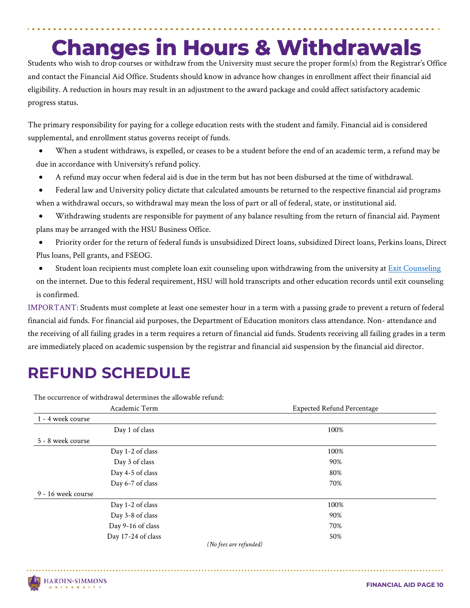## **Changes in Hours & Withdrawals**

Students who wish to drop courses or withdraw from the University must secure the proper form(s) from the Registrar's Office and contact the Financial Aid Office. Students should know in advance how changes in enrollment affect their financial aid eligibility. A reduction in hours may result in an adjustment to the award package and could affect satisfactory academic progress status.

The primary responsibility for paying for a college education rests with the student and family. Financial aid is considered supplemental, and enrollment status governs receipt of funds.

• When a student withdraws, is expelled, or ceases to be a student before the end of an academic term, a refund may be due in accordance with University's refund policy.

• A refund may occur when federal aid is due in the term but has not been disbursed at the time of withdrawal.

• Federal law and University policy dictate that calculated amounts be returned to the respective financial aid programs when a withdrawal occurs, so withdrawal may mean the loss of part or all of federal, state, or institutional aid.

- Withdrawing students are responsible for payment of any balance resulting from the return of financial aid. Payment plans may be arranged with the HSU Business Office.
- Priority order for the return of federal funds is unsubsidized Direct loans, subsidized Direct loans, Perkins loans, Direct Plus loans, Pell grants, and FSEOG.
- Student loan recipients must complete loan exit counseling upon withdrawing from the university at [Exit Counseling](https://www.hsutx.edu/tuition-aid/loans/) on the internet. Due to this federal requirement, HSU will hold transcripts and other education records until exit counseling is confirmed.

IMPORTANT: Students must complete at least one semester hour in a term with a passing grade to prevent a return of federal financial aid funds. For financial aid purposes, the Department of Education monitors class attendance. Non- attendance and the receiving of all failing grades in a term requires a return of financial aid funds. Students receiving all failing grades in a term are immediately placed on academic suspension by the registrar and financial aid suspension by the financial aid director.

### **REFUND SCHEDULE**

The occurrence of withdrawal determines the allowable refund:

| Academic Term          | <b>Expected Refund Percentage</b> |
|------------------------|-----------------------------------|
| 1 - 4 week course      |                                   |
| Day 1 of class         | 100%                              |
| 5 - 8 week course      |                                   |
| Day 1-2 of class       | 100%                              |
| Day 3 of class         | 90%                               |
| Day 4-5 of class       | 80%                               |
| Day 6-7 of class       | 70%                               |
| 9 - 16 week course     |                                   |
| Day 1-2 of class       | 100%                              |
| Day 3-8 of class       | 90%                               |
| Day 9-16 of class      | 70%                               |
| Day 17-24 of class     | 50%                               |
| (No fees are refunded) |                                   |



Ĭ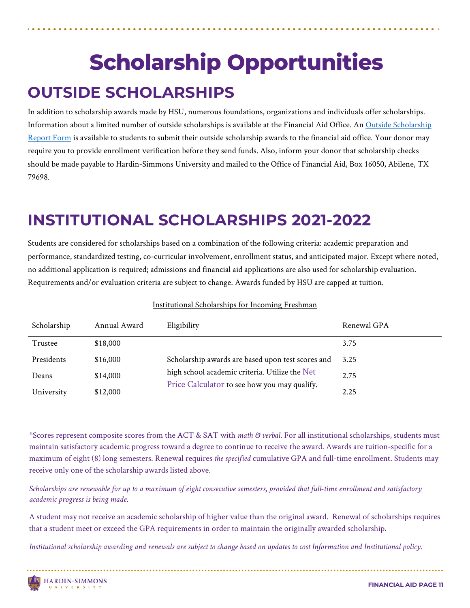## **OUTSIDE SCHOLARSHIPS Scholarship Opportunities**

In addition to scholarship awards made by HSU, numerous foundations, organizations and individuals offer scholarships. Information about a limited number of outside scholarships is available at the Financial Aid Office. An [Outside Scholarship](https://3eroib1qr1f4ekdp93x2c2fv-wpengine.netdna-ssl.com/wp-content/uploads/2020/09/outside.scholarship.form_revised_2020.pdf)  [Report Form](https://3eroib1qr1f4ekdp93x2c2fv-wpengine.netdna-ssl.com/wp-content/uploads/2020/09/outside.scholarship.form_revised_2020.pdf) is available to students to submit their outside scholarship awards to the financial aid office. Your donor may require you to provide enrollment verification before they send funds. Also, inform your donor that scholarship checks should be made payable to Hardin-Simmons University and mailed to the Office of Financial Aid, Box 16050, Abilene, TX 79698.

### **INSTITUTIONAL SCHOLARSHIPS 2021-2022**

Students are considered for scholarships based on a combination of the following criteria: academic preparation and performance, standardized testing, co-curricular involvement, enrollment status, and anticipated major. Except where noted, no additional application is required; admissions and financial aid applications are also used for scholarship evaluation. Requirements and/or evaluation criteria are subject to change. Awards funded by HSU are capped at tuition.

| Scholarship | Annual Award | Eligibility                                       | Renewal GPA |
|-------------|--------------|---------------------------------------------------|-------------|
| Trustee     | \$18,000     |                                                   | 3.75        |
| Presidents  | \$16,000     | Scholarship awards are based upon test scores and | 3.25        |
| Deans       | \$14,000     | high school academic criteria. Utilize the Net    | 2.75        |
| University  | \$12,000     | Price Calculator to see how you may qualify.      | 2.25        |

#### Institutional Scholarships for Incoming Freshman

\*Scores represent composite scores from the ACT & SAT with *math & verbal*. For all institutional scholarships, students must maintain satisfactory academic progress toward a degree to continue to receive the award. Awards are tuition-specific for a maximum of eight (8) long semesters. Renewal requires *the specified* cumulative GPA and full-time enrollment. Students may receive only one of the scholarship awards listed above.

*Scholarships are renewable for up to a maximum of eight consecutive semesters, provided that full-time enrollment and satisfactory academic progress is being made.* 

A student may not receive an academic scholarship of higher value than the original award. Renewal of scholarships requires that a student meet or exceed the GPA requirements in order to maintain the originally awarded scholarship.

*Institutional scholarship awarding and renewals are subject to change based on updates to cost Information and Institutional policy.*

Ĭ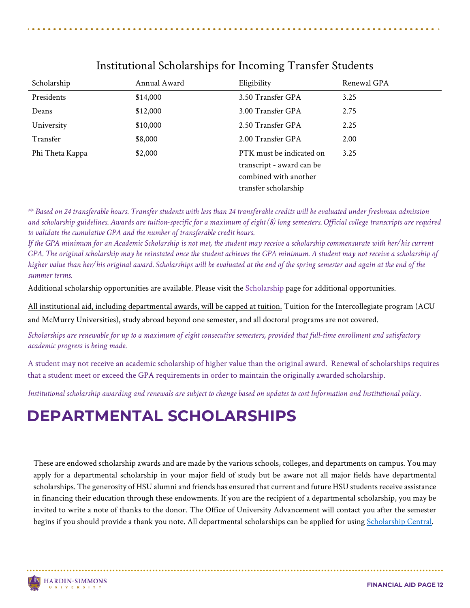| Scholarship     | Annual Award | Eligibility                                                                    | Renewal GPA |
|-----------------|--------------|--------------------------------------------------------------------------------|-------------|
| Presidents      | \$14,000     | 3.50 Transfer GPA                                                              | 3.25        |
| Deans           | \$12,000     | 3.00 Transfer GPA                                                              | 2.75        |
| University      | \$10,000     | 2.50 Transfer GPA                                                              | 2.25        |
| Transfer        | \$8,000      | 2.00 Transfer GPA                                                              | 2.00        |
| Phi Theta Kappa | \$2,000      | PTK must be indicated on<br>transcript - award can be<br>combined with another | 3.25        |
|                 |              | transfer scholarship                                                           |             |

#### Institutional Scholarships for Incoming Transfer Students

*\*\* Based on 24 transferable hours. Transfer students with less than 24 transferable credits will be evaluated under freshman admission and scholarship guidelines. Awards are tuition-specific for a maximum of eight (8) long semesters. Official college transcripts are required to validate the cumulative GPA and the number of transferable credit hours.* 

*If the GPA minimum for an Academic Scholarship is not met, the student may receive a scholarship commensurate with her/his current*  GPA. The original scholarship may be reinstated once the student achieves the GPA minimum. A student may not receive a scholarship of *higher value than her/his original award. Scholarships will be evaluated at the end of the spring semester and again at the end of the summer terms.* 

Additional scholarship opportunities are available. Please visit the [Scholarship](https://www.hsutx.edu/tuition-aid/scholarships/) page for additional opportunities.

All institutional aid, including departmental awards, will be capped at tuition. Tuition for the Intercollegiate program (ACU

and McMurry Universities), study abroad beyond one semester, and all doctoral programs are not covered.

*Scholarships are renewable for up to a maximum of eight consecutive semesters, provided that full-time enrollment and satisfactory academic progress is being made.* 

A student may not receive an academic scholarship of higher value than the original award. Renewal of scholarships requires that a student meet or exceed the GPA requirements in order to maintain the originally awarded scholarship.

*Institutional scholarship awarding and renewals are subject to change based on updates to cost Information and Institutional policy.*

### **DEPARTMENTAL SCHOLARSHIPS**

These are endowed scholarship awards and are made by the various schools, colleges, and departments on campus. You may apply for a departmental scholarship in your major field of study but be aware not all major fields have departmental scholarships. The generosity of HSU alumni and friends has ensured that current and future HSU students receive assistance in financing their education through these endowments. If you are the recipient of a departmental scholarship, you may be invited to write a note of thanks to the donor. The Office of University Advancement will contact you after the semester begins if you should provide a thank you note. All departmental scholarships can be applied for using [Scholarship Central.](https://hsutx.academicworks.com/users/sign_in)

Ĭ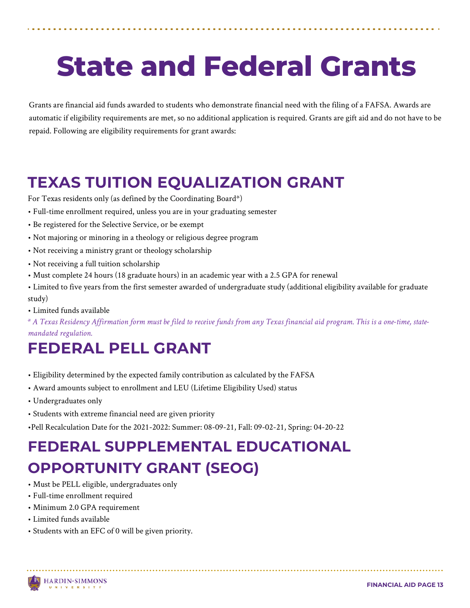# **State and Federal Grants**

Grants are financial aid funds awarded to students who demonstrate financial need with the filing of a FAFSA. Awards are automatic if eligibility requirements are met, so no additional application is required. Grants are gift aid and do not have to be repaid. Following are eligibility requirements for grant awards:

### **TEXAS TUITION EQUALIZATION GRANT**

For Texas residents only (as defined by the Coordinating Board\*)

- Full-time enrollment required, unless you are in your graduating semester
- Be registered for the Selective Service, or be exempt
- Not majoring or minoring in a theology or religious degree program
- Not receiving a ministry grant or theology scholarship
- Not receiving a full tuition scholarship
- Must complete 24 hours (18 graduate hours) in an academic year with a 2.5 GPA for renewal
- Limited to five years from the first semester awarded of undergraduate study (additional eligibility available for graduate study)
- Limited funds available

*\* A Texas Residency Affirmation form must be filed to receive funds from any Texas financial aid program. This is a one-time, statemandated regulation.* 

#### **FEDERAL PELL GRANT**

- Eligibility determined by the expected family contribution as calculated by the FAFSA
- Award amounts subject to enrollment and LEU (Lifetime Eligibility Used) status
- Undergraduates only
- Students with extreme financial need are given priority
- •Pell Recalculation Date for the 2021-2022: Summer: 08-09-21, Fall: 09-02-21, Spring: 04-20-22

### **FEDERAL SUPPLEMENTAL EDUCATIONAL OPPORTUNITY GRANT (SEOG)**

- Must be PELL eligible, undergraduates only
- Full-time enrollment required
- Minimum 2.0 GPA requirement
- Limited funds available
- Students with an EFC of 0 will be given priority.

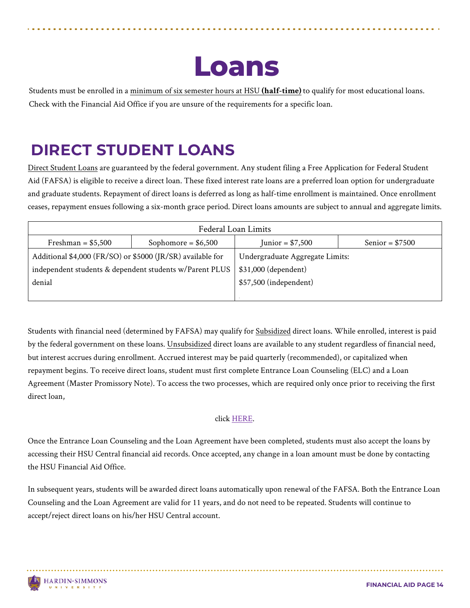Students must be enrolled in a minimum of six semester hours at HSU **(half-time)** to qualify for most educational loans. Check with the Financial Aid Office if you are unsure of the requirements for a specific loan.

### **DIRECT STUDENT LOANS**

Ĭ

Direct Student Loans are guaranteed by the federal government. Any student filing a Free Application for Federal Student Aid (FAFSA) is eligible to receive a direct loan. These fixed interest rate loans are a preferred loan option for undergraduate and graduate students. Repayment of direct loans is deferred as long as half-time enrollment is maintained. Once enrollment ceases, repayment ensues following a six-month grace period. Direct loans amounts are subject to annual and aggregate limits.

| Federal Loan Limits                                        |                      |                                 |                  |
|------------------------------------------------------------|----------------------|---------------------------------|------------------|
| Freshman = $$5,500$                                        | Sophomore = $$6,500$ | Junior = $$7,500$               | Senior = $$7500$ |
| Additional \$4,000 (FR/SO) or \$5000 (JR/SR) available for |                      | Undergraduate Aggregate Limits: |                  |
| independent students & dependent students w/Parent PLUS    |                      | \$31,000 (dependent)            |                  |
| denial                                                     |                      | \$57,500 (independent)          |                  |
|                                                            |                      |                                 |                  |

Students with financial need (determined by FAFSA) may qualify for Subsidized direct loans. While enrolled, interest is paid by the federal government on these loans. Unsubsidized direct loans are available to any student regardless of financial need, but interest accrues during enrollment. Accrued interest may be paid quarterly (recommended), or capitalized when repayment begins. To receive direct loans, student must first complete Entrance Loan Counseling (ELC) and a Loan Agreement (Master Promissory Note). To access the two processes, which are required only once prior to receiving the first direct loan,

#### click [HERE.](https://studentaid.gov/)

Once the Entrance Loan Counseling and the Loan Agreement have been completed, students must also accept the loans by accessing their HSU Central financial aid records. Once accepted, any change in a loan amount must be done by contacting the HSU Financial Aid Office.

In subsequent years, students will be awarded direct loans automatically upon renewal of the FAFSA. Both the Entrance Loan Counseling and the Loan Agreement are valid for 11 years, and do not need to be repeated. Students will continue to accept/reject direct loans on his/her HSU Central account.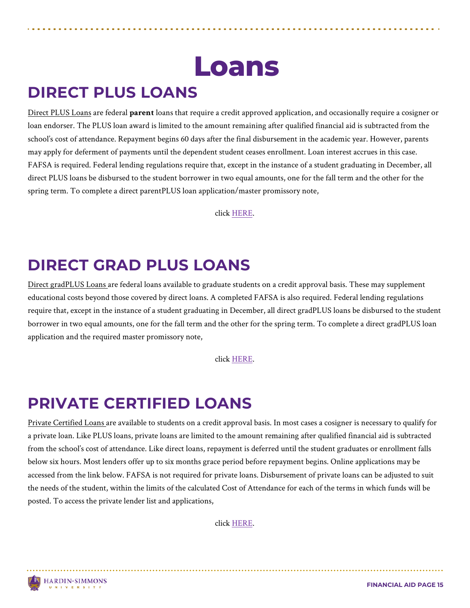### **DIRECT PLUS LOANS**

Ĭ

Direct PLUS Loans are federal **parent** loans that require a credit approved application, and occasionally require a cosigner or loan endorser. The PLUS loan award is limited to the amount remaining after qualified financial aid is subtracted from the school's cost of attendance. Repayment begins 60 days after the final disbursement in the academic year. However, parents may apply for deferment of payments until the dependent student ceases enrollment. Loan interest accrues in this case. FAFSA is required. Federal lending regulations require that, except in the instance of a student graduating in December, all direct PLUS loans be disbursed to the student borrower in two equal amounts, one for the fall term and the other for the spring term. To complete a direct parentPLUS loan application/master promissory note,

click [HERE.](https://studentaid.gov/)

#### **DIRECT GRAD PLUS LOANS**

Direct gradPLUS Loans are federal loans available to graduate students on a credit approval basis. These may supplement educational costs beyond those covered by direct loans. A completed FAFSA is also required. Federal lending regulations require that, except in the instance of a student graduating in December, all direct gradPLUS loans be disbursed to the student borrower in two equal amounts, one for the fall term and the other for the spring term. To complete a direct gradPLUS loan application and the required master promissory note,

click [HERE.](https://studentaid.gov/) 

### **PRIVATE CERTIFIED LOANS**

Private Certified Loans are available to students on a credit approval basis. In most cases a cosigner is necessary to qualify for a private loan. Like PLUS loans, private loans are limited to the amount remaining after qualified financial aid is subtracted from the school's cost of attendance. Like direct loans, repayment is deferred until the student graduates or enrollment falls below six hours. Most lenders offer up to six months grace period before repayment begins. Online applications may be accessed from the link below. FAFSA is not required for private loans. Disbursement of private loans can be adjusted to suit the needs of the student, within the limits of the calculated Cost of Attendance for each of the terms in which funds will be posted. To access the private lender list and applications,

click [HERE.](https://www.hsutx.edu/tuition-aid/loans/private-certified-loans/) 

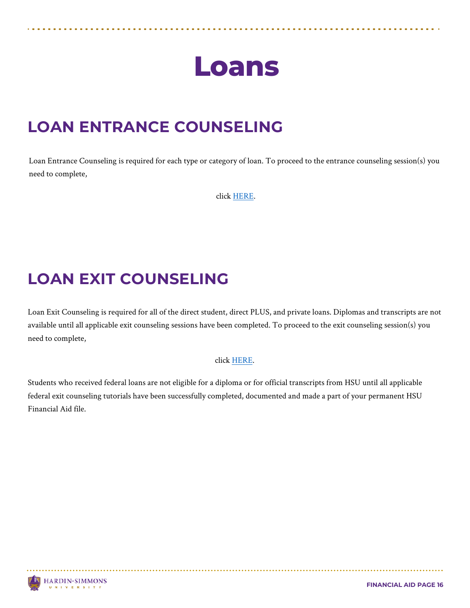#### **LOAN ENTRANCE COUNSELING**

Loan Entrance Counseling is required for each type or category of loan. To proceed to the entrance counseling session(s) you need to complete,

clic[k HERE.](https://www.hsutx.edu/tuition-aid/loans/)

### **LOAN EXIT COUNSELING**

Loan Exit Counseling is required for all of the direct student, direct PLUS, and private loans. Diplomas and transcripts are not available until all applicable exit counseling sessions have been completed. To proceed to the exit counseling session(s) you need to complete,

#### click [HERE.](https://www.hsutx.edu/tuition-aid/loans/)

Students who received federal loans are not eligible for a diploma or for official transcripts from HSU until all applicable federal exit counseling tutorials have been successfully completed, documented and made a part of your permanent HSU Financial Aid file.

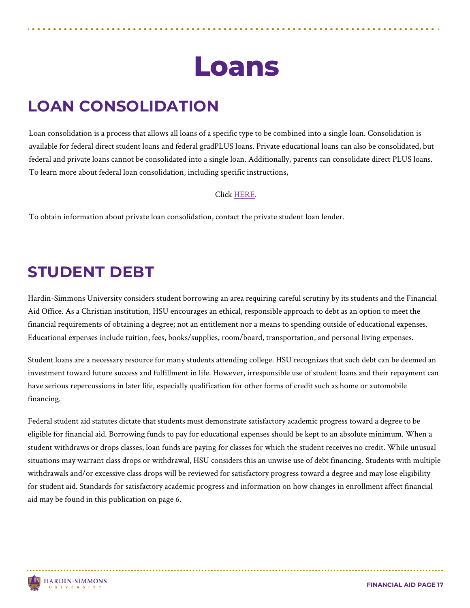### **LOAN CONSOLIDATION**

Ĭ

Loan consolidation is a process that allows all loans of a specific type to be combined into a single loan. Consolidation is available for federal direct student loans and federal gradPLUS loans. Private educational loans can also be consolidated, but federal and private loans cannot be consolidated into a single loan. Additionally, parents can consolidate direct PLUS loans. To learn more about federal loan consolidation, including specific instructions,

#### Click [HERE.](https://studentaid.gov/)

To obtain information about private loan consolidation, contact the private student loan lender.

#### **STUDENT DEBT**

Hardin-Simmons University considers student borrowing an area requiring careful scrutiny by its students and the Financial Aid Office. As a Christian institution, HSU encourages an ethical, responsible approach to debt as an option to meet the financial requirements of obtaining a degree; not an entitlement nor a means to spending outside of educational expenses. Educational expenses include tuition, fees, books/supplies, room/board, transportation, and personal living expenses.

Student loans are a necessary resource for many students attending college. HSU recognizes that such debt can be deemed an investment toward future success and fulfillment in life. However, irresponsible use of student loans and their repayment can have serious repercussions in later life, especially qualification for other forms of credit such as home or automobile financing.

Federal student aid statutes dictate that students must demonstrate satisfactory academic progress toward a degree to be eligible for financial aid. Borrowing funds to pay for educational expenses should be kept to an absolute minimum. When a student withdraws or drops classes, loan funds are paying for classes for which the student receives no credit. While unusual situations may warrant class drops or withdrawal, HSU considers this an unwise use of debt financing. Students with multiple withdrawals and/or excessive class drops will be reviewed for satisfactory progress toward a degree and may lose eligibility for student aid. Standards for satisfactory academic progress and information on how changes in enrollment affect financial aid may be found in this publication on page 6.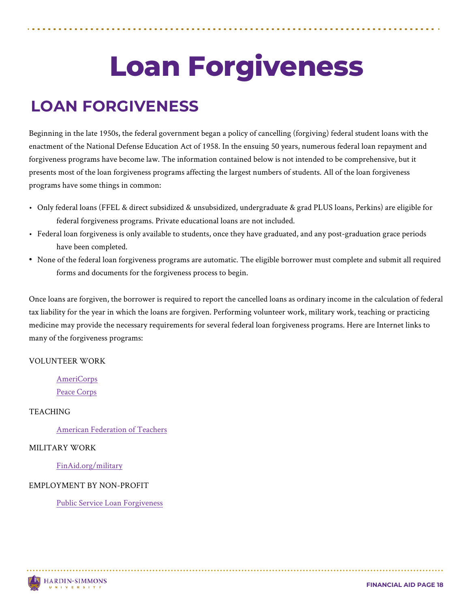# **Loan Forgiveness**

### **LOAN FORGIVENESS**

Beginning in the late 1950s, the federal government began a policy of cancelling (forgiving) federal student loans with the enactment of the National Defense Education Act of 1958. In the ensuing 50 years, numerous federal loan repayment and forgiveness programs have become law. The information contained below is not intended to be comprehensive, but it presents most of the loan forgiveness programs affecting the largest numbers of students. All of the loan forgiveness programs have some things in common:

- Only federal loans (FFEL & direct subsidized & unsubsidized, undergraduate & grad PLUS loans, Perkins) are eligible for federal forgiveness programs. Private educational loans are not included.
- Federal loan forgiveness is only available to students, once they have graduated, and any post-graduation grace periods have been completed.
- None of the federal loan forgiveness programs are automatic. The eligible borrower must complete and submit all required forms and documents for the forgiveness process to begin.

Once loans are forgiven, the borrower is required to report the cancelled loans as ordinary income in the calculation of federal tax liability for the year in which the loans are forgiven. Performing volunteer work, military work, teaching or practicing medicine may provide the necessary requirements for several federal loan forgiveness programs. Here are Internet links to many of the forgiveness programs:

#### VOLUNTEER WORK

[AmeriCorps](https://www.nationalservice.gov/programs/americorps) [Peace Corps](https://www.peacecorps.gov/)

#### **TEACHING**

Ĭ

[American Federation of Teachers](https://www.aft.org/funding-database) 

#### MILITARY WORK

[FinAid.org/military](https://www.nationalservice.gov/programs/americorps) 

#### EMPLOYMENT BY NON-PROFIT

[Public Service Loan Forgiveness](https://www.aft.org/funding-database) 

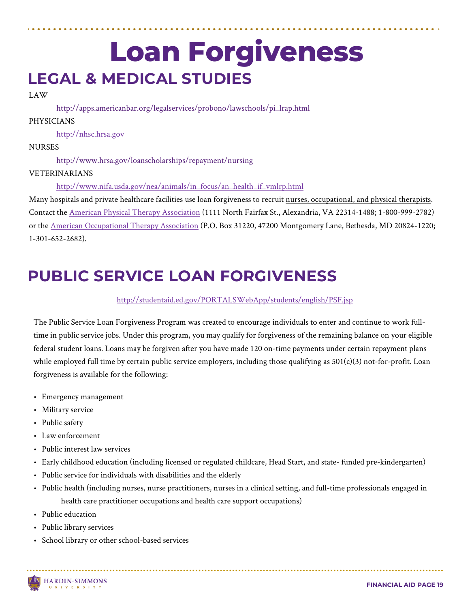### Ĭ **Loan Forgiveness LEGAL & MEDICAL STUDIES**

#### LAW

http://apps.americanbar.org/legalservices/probono/lawschools/pi\_lrap.html

#### PHYSICIANS

[http://nhsc.hrsa.gov](https://nhsc.hrsa.gov/) 

#### **NURSES**

http://www.hrsa.gov/loanscholarships/repayment/nursing

#### VETERINARIANS

[http://www.nifa.usda.gov/nea/animals/in\\_focus/an\\_health\\_if\\_vmlrp.html](https://nifa.usda.gov/program/veterinary-medicine-loan-repayment-program) 

Many hospitals and private healthcare facilities use loan forgiveness to recruit nurses, occupational, and physical therapists. Contact the [American Physical Therapy Association](http://www.apta.org/) (1111 North Fairfax St., Alexandria, VA 22314-1488; 1-800-999-2782) or the [American Occupational Therapy Association](https://www.aota.org/) (P.O. Box 31220, 47200 Montgomery Lane, Bethesda, MD 20824-1220; 1-301-652-2682).

#### **PUBLIC SERVICE LOAN FORGIVENESS**

[http://studentaid.ed.gov/PORTALSWebApp/students/english/PSF.jsp](https://studentaid.ed.gov/sa/PORTALSWebApp/students/english/PSF.jsp)

The Public Service Loan Forgiveness Program was created to encourage individuals to enter and continue to work fulltime in public service jobs. Under this program, you may qualify for forgiveness of the remaining balance on your eligible federal student loans. Loans may be forgiven after you have made 120 on-time payments under certain repayment plans while employed full time by certain public service employers, including those qualifying as  $501(c)(3)$  not-for-profit. Loan forgiveness is available for the following:

- Emergency management
- Military service
- Public safety
- Law enforcement
- Public interest law services
- Early childhood education (including licensed or regulated childcare, Head Start, and state- funded pre-kindergarten)
- Public service for individuals with disabilities and the elderly
- Public health (including nurses, nurse practitioners, nurses in a clinical setting, and full-time professionals engaged in health care practitioner occupations and health care support occupations)
- Public education
- Public library services
- School library or other school-based services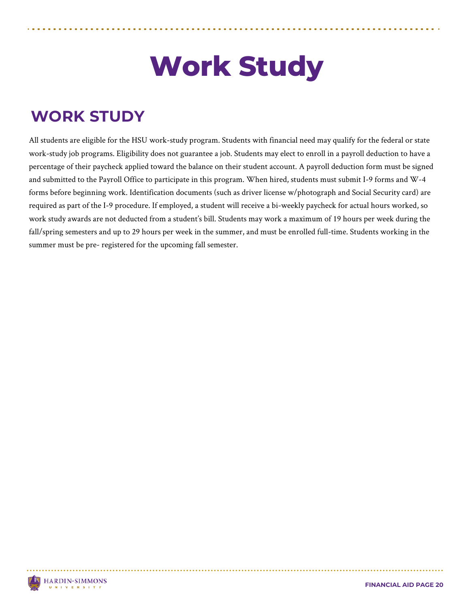# **Work Study**

### **WORK STUDY**

All students are eligible for the HSU work-study program. Students with financial need may qualify for the federal or state work-study job programs. Eligibility does not guarantee a job. Students may elect to enroll in a payroll deduction to have a percentage of their paycheck applied toward the balance on their student account. A payroll deduction form must be signed and submitted to the Payroll Office to participate in this program. When hired, students must submit I-9 forms and W-4 forms before beginning work. Identification documents (such as driver license w/photograph and Social Security card) are required as part of the I-9 procedure. If employed, a student will receive a bi-weekly paycheck for actual hours worked, so work study awards are not deducted from a student's bill. Students may work a maximum of 19 hours per week during the fall/spring semesters and up to 29 hours per week in the summer, and must be enrolled full-time. Students working in the summer must be pre- registered for the upcoming fall semester.